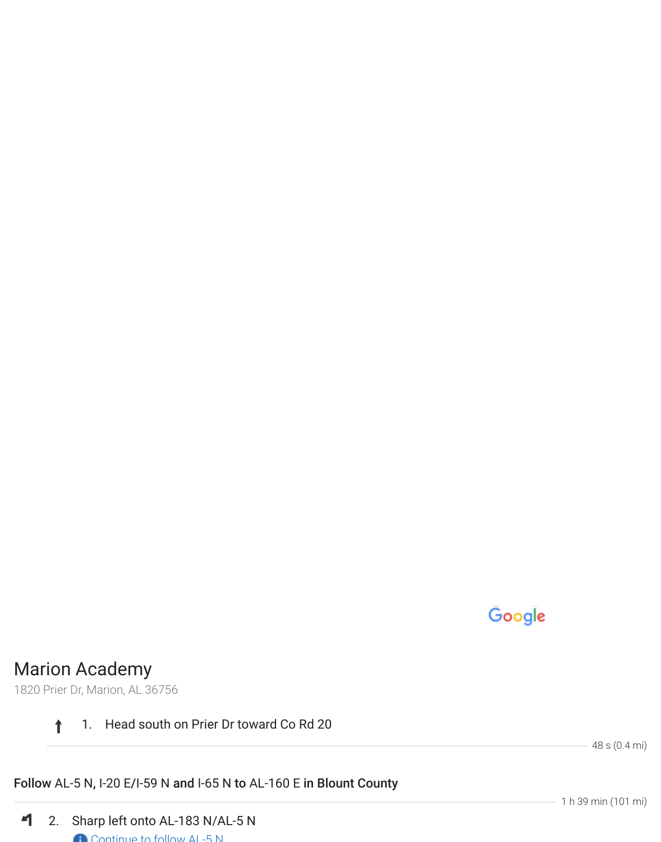# Google

## Marion Academy

1820 Prier Dr, Marion, AL 36756

#### $\ddagger$ 1. Head south on Prier Dr toward Co Rd 20

48 s (0.4 mi)

### Follow AL-5 N, I-20 E/I-59 N and I-65 N to AL-160 E in Blount County

 $\blacktriangleleft$ 2. Sharp left onto AL-183 N/AL-5 N Continue to follow AL-5 N

1 h 39 min (101 mi)